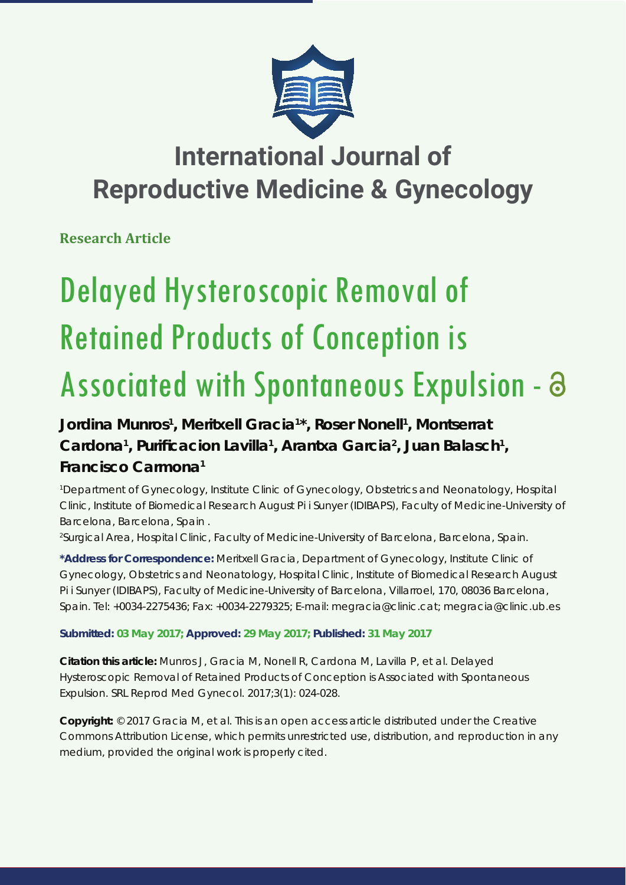

## **International Journal of Reproductive Medicine & Gynecology**

**Research Article**

# Delayed Hysteroscopic Removal of Retained Products of Conception is Associated with Spontaneous Expulsion -  $\partial$

### **Jordina Munros1 , Meritxell Gracia1 \*, Roser Nonell1 , Montserrat**  Cardona<sup>1</sup>, Purificacion Lavilla<sup>1</sup>, Arantxa Garcia<sup>2</sup>, Juan Balasch<sup>1</sup>, **Francisco Carmona1**

*1 Department of Gynecology, Institute Clinic of Gynecology, Obstetrics and Neonatology, Hospital Clinic, Institute of Biomedical Research August Pi i Sunyer (IDIBAPS), Faculty of Medicine-University of Barcelona, Barcelona, Spain .*

*2 Surgical Area, Hospital Clinic, Faculty of Medicine-University of Barcelona, Barcelona, Spain.*

**\*Address for Correspondence:** Meritxell Gracia, Department of Gynecology, Institute Clinic of Gynecology, Obstetrics and Neonatology, Hospital Clinic, Institute of Biomedical Research August Pi i Sunyer (IDIBAPS), Faculty of Medicine-University of Barcelona, Villarroel, 170, 08036 Barcelona, Spain. Tel: +0034-2275436; Fax: +0034-2279325; E-mail: megracia@clinic.cat; megracia@clinic.ub.es

**Submitted: 03 May 2017; Approved: 29 May 2017; Published: 31 May 2017**

**Citation this article:** Munros J, Gracia M, Nonell R, Cardona M, Lavilla P, et al. Delayed Hysteroscopic Removal of Retained Products of Conception is Associated with Spontaneous Expulsion. SRL Reprod Med Gynecol. 2017;3(1): 024-028.

**Copyright:** © 2017 Gracia M, et al. This is an open access article distributed under the Creative Commons Attribution License, which permits unrestricted use, distribution, and reproduction in any medium, provided the original work is properly cited.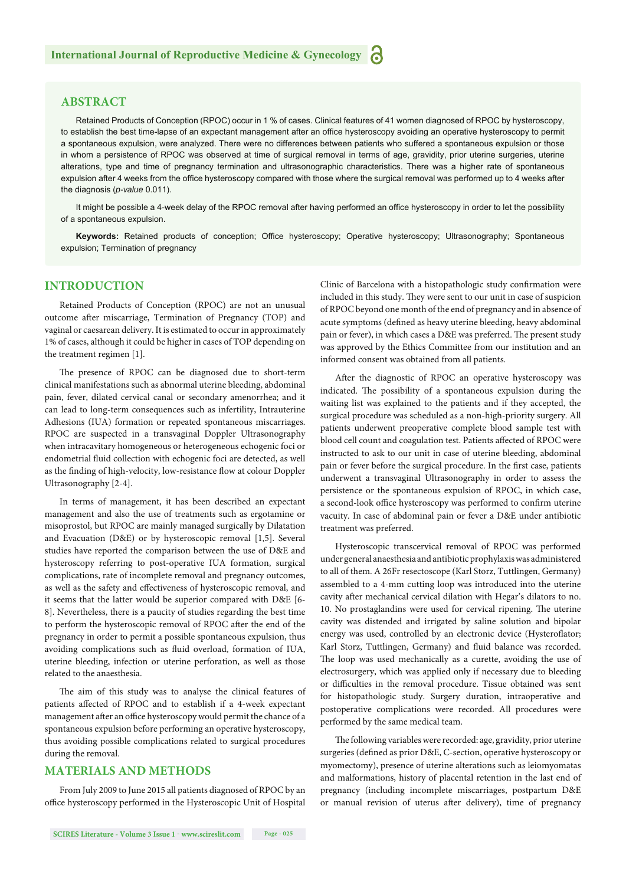#### **ABSTRACT**

Retained Products of Conception (RPOC) occur in 1 % of cases. Clinical features of 41 women diagnosed of RPOC by hysteroscopy, to establish the best time-lapse of an expectant management after an office hysteroscopy avoiding an operative hysteroscopy to permit a spontaneous expulsion, were analyzed. There were no differences between patients who suffered a spontaneous expulsion or those in whom a persistence of RPOC was observed at time of surgical removal in terms of age, gravidity, prior uterine surgeries, uterine alterations, type and time of pregnancy termination and ultrasonographic characteristics. There was a higher rate of spontaneous expulsion after 4 weeks from the office hysteroscopy compared with those where the surgical removal was performed up to 4 weeks after the diagnosis (*p-value* 0.011).

It might be possible a 4-week delay of the RPOC removal after having performed an office hysteroscopy in order to let the possibility of a spontaneous expulsion.

Keywords: Retained products of conception; Office hysteroscopy; Operative hysteroscopy; Ultrasonography; Spontaneous expulsion; Termination of pregnancy

#### **INTRODUCTION**

Retained Products of Conception (RPOC) are not an unusual outcome after miscarriage, Termination of Pregnancy (TOP) and vaginal or caesarean delivery. It is estimated to occur in approximately 1% of cases, although it could be higher in cases of TOP depending on the treatment regimen [1].

The presence of RPOC can be diagnosed due to short-term clinical manifestations such as abnormal uterine bleeding, abdominal pain, fever, dilated cervical canal or secondary amenorrhea; and it can lead to long-term consequences such as infertility, Intrauterine Adhesions (IUA) formation or repeated spontaneous miscarriages. RPOC are suspected in a transvaginal Doppler Ultrasonography when intracavitary homogeneous or heterogeneous echogenic foci or endometrial fluid collection with echogenic foci are detected, as well as the finding of high-velocity, low-resistance flow at colour Doppler Ultrasonography [2-4].

In terms of management, it has been described an expectant management and also the use of treatments such as ergotamine or misoprostol, but RPOC are mainly managed surgically by Dilatation and Evacuation (D&E) or by hysteroscopic removal [1,5]. Several studies have reported the comparison between the use of D&E and hysteroscopy referring to post-operative IUA formation, surgical complications, rate of incomplete removal and pregnancy outcomes, as well as the safety and effectiveness of hysteroscopic removal, and it seems that the latter would be superior compared with D&E [6- 8]. Nevertheless, there is a paucity of studies regarding the best time to perform the hysteroscopic removal of RPOC after the end of the pregnancy in order to permit a possible spontaneous expulsion, thus avoiding complications such as fluid overload, formation of IUA, uterine bleeding, infection or uterine perforation, as well as those related to the anaesthesia.

The aim of this study was to analyse the clinical features of patients affected of RPOC and to establish if a 4-week expectant management after an office hysteroscopy would permit the chance of a spontaneous expulsion before performing an operative hysteroscopy, thus avoiding possible complications related to surgical procedures during the removal.

#### **MATERIALS AND METHODS**

From July 2009 to June 2015 all patients diagnosed of RPOC by an office hysteroscopy performed in the Hysteroscopic Unit of Hospital Clinic of Barcelona with a histopathologic study confirmation were included in this study. They were sent to our unit in case of suspicion of RPOC beyond one month of the end of pregnancy and in absence of acute symptoms (defined as heavy uterine bleeding, heavy abdominal pain or fever), in which cases a D&E was preferred. The present study was approved by the Ethics Committee from our institution and an informed consent was obtained from all patients.

After the diagnostic of RPOC an operative hysteroscopy was indicated. The possibility of a spontaneous expulsion during the waiting list was explained to the patients and if they accepted, the surgical procedure was scheduled as a non-high-priority surgery. All patients underwent preoperative complete blood sample test with blood cell count and coagulation test. Patients affected of RPOC were instructed to ask to our unit in case of uterine bleeding, abdominal pain or fever before the surgical procedure. In the first case, patients underwent a transvaginal Ultrasonography in order to assess the persistence or the spontaneous expulsion of RPOC, in which case, a second-look office hysteroscopy was performed to confirm uterine vacuity. In case of abdominal pain or fever a D&E under antibiotic treatment was preferred.

Hysteroscopic transcervical removal of RPOC was performed under general anaesthesia and antibiotic prophylaxis was administered to all of them. A 26Fr resectoscope (Karl Storz, Tuttlingen, Germany) assembled to a 4-mm cutting loop was introduced into the uterine cavity after mechanical cervical dilation with Hegar's dilators to no. 10. No prostaglandins were used for cervical ripening. The uterine cavity was distended and irrigated by saline solution and bipolar energy was used, controlled by an electronic device (Hysteroflator; Karl Storz, Tuttlingen, Germany) and fluid balance was recorded. The loop was used mechanically as a curette, avoiding the use of electrosurgery, which was applied only if necessary due to bleeding or difficulties in the removal procedure. Tissue obtained was sent for histopathologic study. Surgery duration, intraoperative and postoperative complications were recorded. All procedures were performed by the same medical team.

The following variables were recorded: age, gravidity, prior uterine surgeries (defined as prior D&E, C-section, operative hysteroscopy or myomectomy), presence of uterine alterations such as leiomyomatas and malformations, history of placental retention in the last end of pregnancy (including incomplete miscarriages, postpartum D&E or manual revision of uterus after delivery), time of pregnancy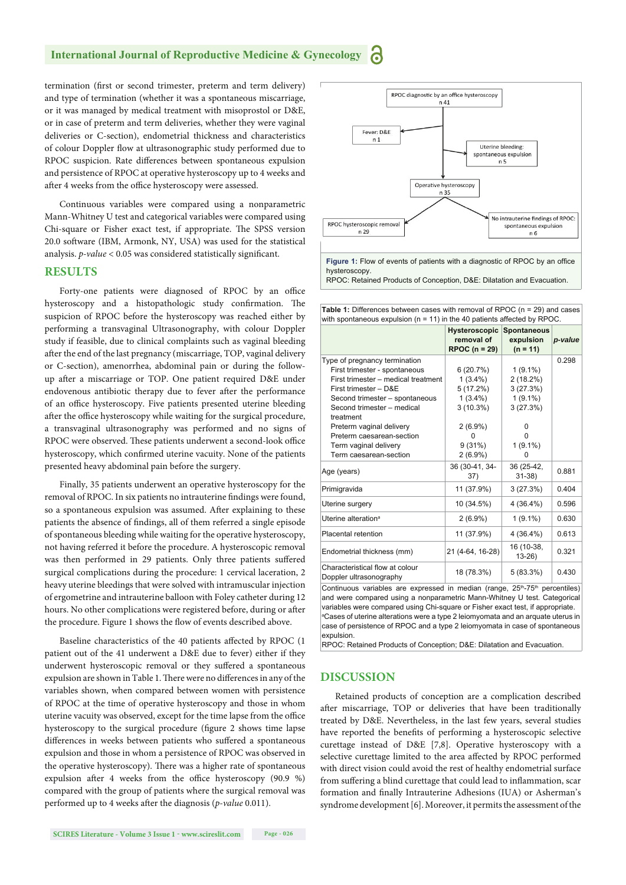#### **International Journal of Reproductive Medicine & Gynecology**

termination (first or second trimester, preterm and term delivery) and type of termination (whether it was a spontaneous miscarriage, or it was managed by medical treatment with misoprostol or D&E, or in case of preterm and term deliveries, whether they were vaginal deliveries or C-section), endometrial thickness and characteristics of colour Doppler flow at ultrasonographic study performed due to RPOC suspicion. Rate differences between spontaneous expulsion and persistence of RPOC at operative hysteroscopy up to 4 weeks and after 4 weeks from the office hysteroscopy were assessed.

Continuous variables were compared using a nonparametric Mann-Whitney U test and categorical variables were compared using Chi-square or Fisher exact test, if appropriate. The SPSS version 20.0 software (IBM, Armonk, NY, USA) was used for the statistical analysis. *p-value* < 0.05 was considered statistically significant.

#### **RESULTS**

Forty-one patients were diagnosed of RPOC by an office hysteroscopy and a histopathologic study confirmation. The suspicion of RPOC before the hysteroscopy was reached either by performing a transvaginal Ultrasonography, with colour Doppler study if feasible, due to clinical complaints such as vaginal bleeding after the end of the last pregnancy (miscarriage, TOP, vaginal delivery or C-section), amenorrhea, abdominal pain or during the followup after a miscarriage or TOP. One patient required D&E under endovenous antibiotic therapy due to fever after the performance of an office hysteroscopy. Five patients presented uterine bleeding after the office hysteroscopy while waiting for the surgical procedure, a transvaginal ultrasonography was performed and no signs of RPOC were observed. These patients underwent a second-look office hysteroscopy, which confirmed uterine vacuity. None of the patients presented heavy abdominal pain before the surgery.

Finally, 35 patients underwent an operative hysteroscopy for the removal of RPOC. In six patients no intrauterine findings were found, so a spontaneous expulsion was assumed. After explaining to these patients the absence of findings, all of them referred a single episode of spontaneous bleeding while waiting for the operative hysteroscopy, not having referred it before the procedure. A hysteroscopic removal was then performed in 29 patients. Only three patients suffered surgical complications during the procedure: 1 cervical laceration, 2 heavy uterine bleedings that were solved with intramuscular injection of ergometrine and intrauterine balloon with Foley catheter during 12 hours. No other complications were registered before, during or after the procedure. Figure 1 shows the flow of events described above.

Baseline characteristics of the 40 patients affected by RPOC (1 patient out of the 41 underwent a D&E due to fever) either if they underwent hysteroscopic removal or they suffered a spontaneous expulsion are shown in Table 1. There were no differences in any of the variables shown, when compared between women with persistence of RPOC at the time of operative hysteroscopy and those in whom uterine vacuity was observed, except for the time lapse from the office hysteroscopy to the surgical procedure (figure 2 shows time lapse differences in weeks between patients who suffered a spontaneous expulsion and those in whom a persistence of RPOC was observed in the operative hysteroscopy). There was a higher rate of spontaneous expulsion after 4 weeks from the office hysteroscopy  $(90.9 %)$ compared with the group of patients where the surgical removal was performed up to 4 weeks after the diagnosis (*p-value* 0.011).



RPOC: Retained Products of Conception, D&E: Dilatation and Evacuation.

Table 1: Differences between cases with removal of RPOC (n = 29) and cases with spontaneous expulsion ( $n = 11$ ) in the 40 patients affected by RPOC

|                                                                                                                                                                                                                                                                                                                         | Hysteroscopic<br>removal of<br>RPOC $(n = 29)$                                                          | <b>Spontaneous</b><br>expulsion<br>$(n = 11)$                                             | p-value |
|-------------------------------------------------------------------------------------------------------------------------------------------------------------------------------------------------------------------------------------------------------------------------------------------------------------------------|---------------------------------------------------------------------------------------------------------|-------------------------------------------------------------------------------------------|---------|
| Type of pregnancy termination<br>First trimester - spontaneous<br>First trimester - medical treatment<br>First trimester - D&E<br>Second trimester - spontaneous<br>Second trimester - medical<br>treatment<br>Preterm vaginal delivery<br>Preterm caesarean-section<br>Term vaginal delivery<br>Term caesarean-section | 6(20.7%)<br>$1(3.4\%)$<br>5(17.2%)<br>$1(3.4\%)$<br>3(10.3%)<br>$2(6.9\%)$<br>0<br>9(31%)<br>$2(6.9\%)$ | $1(9.1\%)$<br>2(18.2%)<br>3(27.3%)<br>$1(9.1\%)$<br>3(27.3%)<br>O<br>o<br>$1(9.1\%)$<br>0 | 0.298   |
| Age (years)                                                                                                                                                                                                                                                                                                             | 36 (30-41, 34-<br>37)                                                                                   | 36 (25-42,<br>$31 - 38$                                                                   | 0.881   |
| Primigravida                                                                                                                                                                                                                                                                                                            | 11 (37.9%)                                                                                              | 3(27.3%)                                                                                  | 0.404   |
| Uterine surgery                                                                                                                                                                                                                                                                                                         | 10 (34.5%)                                                                                              | 4 (36.4%)                                                                                 | 0.596   |
| Uterine alteration <sup>a</sup>                                                                                                                                                                                                                                                                                         | $2(6.9\%)$                                                                                              | $1(9.1\%)$                                                                                | 0.630   |
| Placental retention                                                                                                                                                                                                                                                                                                     | 11 (37.9%)                                                                                              | 4 (36.4%)                                                                                 | 0.613   |
| Endometrial thickness (mm)                                                                                                                                                                                                                                                                                              | 21 (4-64, 16-28)                                                                                        | 16 (10-38,<br>$13-26$                                                                     | 0.321   |
| Characteristical flow at colour<br>Doppler ultrasonography                                                                                                                                                                                                                                                              | 18 (78.3%)                                                                                              | 5(83.3%)                                                                                  | 0.430   |
| Continuous variables are expressed in median (range, 25th-75th percentiles)<br>and were compared using a nonparametric Mann-Whitney U test. Categorical                                                                                                                                                                 |                                                                                                         |                                                                                           |         |

variables were compared using Chi-square or Fisher exact test, if appropriate. <sup>a</sup> Cases of uterine alterations were a type 2 leiomyomata and an arquate uterus in case of persistence of RPOC and a type 2 leiomyomata in case of spontaneous expulsion.

RPOC: Retained Products of Conception; D&E: Dilatation and Evacuation.

#### **DISCUSSION**

Retained products of conception are a complication described after miscarriage, TOP or deliveries that have been traditionally treated by D&E. Nevertheless, in the last few years, several studies have reported the benefits of performing a hysteroscopic selective curettage instead of D&E [7,8]. Operative hysteroscopy with a selective curettage limited to the area affected by RPOC performed with direct vision could avoid the rest of healthy endometrial surface from suffering a blind curettage that could lead to inflammation, scar formation and finally Intrauterine Adhesions (IUA) or Asherman's syndrome development [6]. Moreover, it permits the assessment of the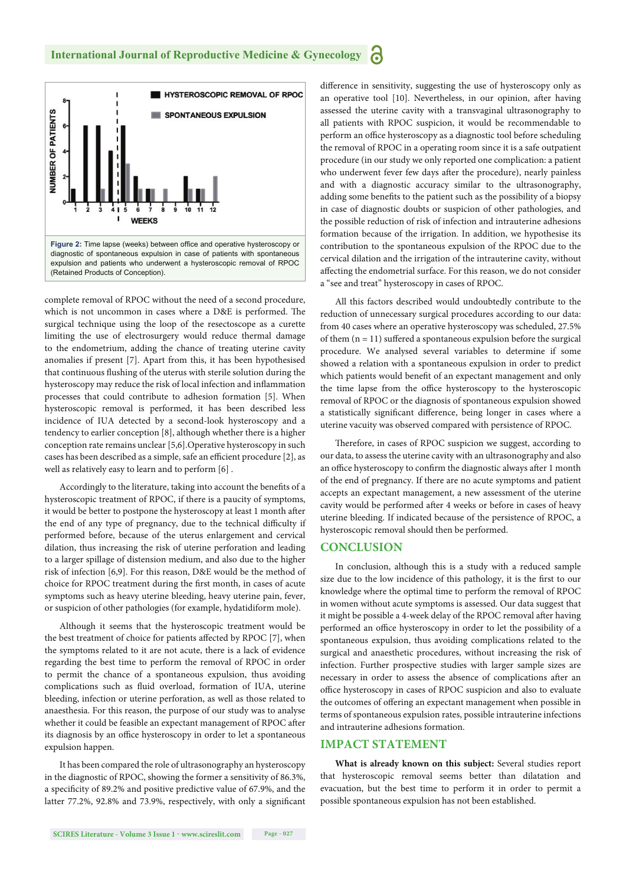

complete removal of RPOC without the need of a second procedure, which is not uncommon in cases where a D&E is performed. The surgical technique using the loop of the resectoscope as a curette limiting the use of electrosurgery would reduce thermal damage to the endometrium, adding the chance of treating uterine cavity anomalies if present [7]. Apart from this, it has been hypothesised that continuous flushing of the uterus with sterile solution during the hysteroscopy may reduce the risk of local infection and inflammation processes that could contribute to adhesion formation [5]. When hysteroscopic removal is performed, it has been described less incidence of IUA detected by a second-look hysteroscopy and a tendency to earlier conception [8], although whether there is a higher conception rate remains unclear [5,6].Operative hysteroscopy in such cases has been described as a simple, safe an efficient procedure [2], as well as relatively easy to learn and to perform [6] .

Accordingly to the literature, taking into account the benefits of a hysteroscopic treatment of RPOC, if there is a paucity of symptoms, it would be better to postpone the hysteroscopy at least 1 month after the end of any type of pregnancy, due to the technical difficulty if performed before, because of the uterus enlargement and cervical dilation, thus increasing the risk of uterine perforation and leading to a larger spillage of distension medium, and also due to the higher risk of infection [6,9]. For this reason, D&E would be the method of choice for RPOC treatment during the first month, in cases of acute symptoms such as heavy uterine bleeding, heavy uterine pain, fever, or suspicion of other pathologies (for example, hydatidiform mole).

Although it seems that the hysteroscopic treatment would be the best treatment of choice for patients affected by RPOC [7], when the symptoms related to it are not acute, there is a lack of evidence regarding the best time to perform the removal of RPOC in order to permit the chance of a spontaneous expulsion, thus avoiding complications such as fluid overload, formation of IUA, uterine bleeding, infection or uterine perforation, as well as those related to anaesthesia. For this reason, the purpose of our study was to analyse whether it could be feasible an expectant management of RPOC after its diagnosis by an office hysteroscopy in order to let a spontaneous expulsion happen.

It has been compared the role of ultrasonography an hysteroscopy in the diagnostic of RPOC, showing the former a sensitivity of 86.3%, a specificity of 89.2% and positive predictive value of 67.9%, and the latter 77.2%, 92.8% and 73.9%, respectively, with only a significant difference in sensitivity, suggesting the use of hysteroscopy only as an operative tool [10]. Nevertheless, in our opinion, after having assessed the uterine cavity with a transvaginal ultrasonography to all patients with RPOC suspicion, it would be recommendable to perform an office hysteroscopy as a diagnostic tool before scheduling the removal of RPOC in a operating room since it is a safe outpatient procedure (in our study we only reported one complication: a patient who underwent fever few days after the procedure), nearly painless and with a diagnostic accuracy similar to the ultrasonography, adding some benefits to the patient such as the possibility of a biopsy in case of diagnostic doubts or suspicion of other pathologies, and the possible reduction of risk of infection and intrauterine adhesions formation because of the irrigation. In addition, we hypothesise its contribution to the spontaneous expulsion of the RPOC due to the cervical dilation and the irrigation of the intrauterine cavity, without affecting the endometrial surface. For this reason, we do not consider a "see and treat" hysteroscopy in cases of RPOC.

All this factors described would undoubtedly contribute to the reduction of unnecessary surgical procedures according to our data: from 40 cases where an operative hysteroscopy was scheduled, 27.5% of them  $(n = 11)$  suffered a spontaneous expulsion before the surgical procedure. We analysed several variables to determine if some showed a relation with a spontaneous expulsion in order to predict which patients would benefit of an expectant management and only the time lapse from the office hysteroscopy to the hysteroscopic removal of RPOC or the diagnosis of spontaneous expulsion showed a statistically significant difference, being longer in cases where a uterine vacuity was observed compared with persistence of RPOC.

Therefore, in cases of RPOC suspicion we suggest, according to our data, to assess the uterine cavity with an ultrasonography and also an office hysteroscopy to confirm the diagnostic always after 1 month of the end of pregnancy. If there are no acute symptoms and patient accepts an expectant management, a new assessment of the uterine cavity would be performed after 4 weeks or before in cases of heavy uterine bleeding. If indicated because of the persistence of RPOC, a hysteroscopic removal should then be performed.

#### **CONCLUSION**

In conclusion, although this is a study with a reduced sample size due to the low incidence of this pathology, it is the first to our knowledge where the optimal time to perform the removal of RPOC in women without acute symptoms is assessed. Our data suggest that it might be possible a 4-week delay of the RPOC removal after having performed an office hysteroscopy in order to let the possibility of a spontaneous expulsion, thus avoiding complications related to the surgical and anaesthetic procedures, without increasing the risk of infection. Further prospective studies with larger sample sizes are necessary in order to assess the absence of complications after an office hysteroscopy in cases of RPOC suspicion and also to evaluate the outcomes of offering an expectant management when possible in terms of spontaneous expulsion rates, possible intrauterine infections and intrauterine adhesions formation.

#### **IMPACT STATEMENT**

**What is already known on this subject:** Several studies report that hysteroscopic removal seems better than dilatation and evacuation, but the best time to perform it in order to permit a possible spontaneous expulsion has not been established.